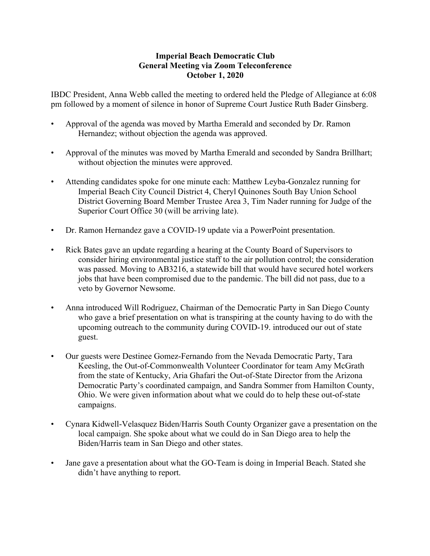## **Imperial Beach Democratic Club General Meeting via Zoom Teleconference October 1, 2020**

IBDC President, Anna Webb called the meeting to ordered held the Pledge of Allegiance at 6:08 pm followed by a moment of silence in honor of Supreme Court Justice Ruth Bader Ginsberg.

- Approval of the agenda was moved by Martha Emerald and seconded by Dr. Ramon Hernandez; without objection the agenda was approved.
- Approval of the minutes was moved by Martha Emerald and seconded by Sandra Brillhart; without objection the minutes were approved.
- Attending candidates spoke for one minute each: Matthew Leyba-Gonzalez running for Imperial Beach City Council District 4, Cheryl Quinones South Bay Union School District Governing Board Member Trustee Area 3, Tim Nader running for Judge of the Superior Court Office 30 (will be arriving late).
- Dr. Ramon Hernandez gave a COVID-19 update via a PowerPoint presentation.
- Rick Bates gave an update regarding a hearing at the County Board of Supervisors to consider hiring environmental justice staff to the air pollution control; the consideration was passed. Moving to AB3216, a statewide bill that would have secured hotel workers jobs that have been compromised due to the pandemic. The bill did not pass, due to a veto by Governor Newsome.
- Anna introduced Will Rodriguez, Chairman of the Democratic Party in San Diego County who gave a brief presentation on what is transpiring at the county having to do with the upcoming outreach to the community during COVID-19. introduced our out of state guest.
- Our guests were Destinee Gomez-Fernando from the Nevada Democratic Party, Tara Keesling, the Out-of-Commonwealth Volunteer Coordinator for team Amy McGrath from the state of Kentucky, Aria Ghafari the Out-of-State Director from the Arizona Democratic Party's coordinated campaign, and Sandra Sommer from Hamilton County, Ohio. We were given information about what we could do to help these out-of-state campaigns.
- Cynara Kidwell-Velasquez Biden/Harris South County Organizer gave a presentation on the local campaign. She spoke about what we could do in San Diego area to help the Biden/Harris team in San Diego and other states.
- Jane gave a presentation about what the GO-Team is doing in Imperial Beach. Stated she didn't have anything to report.